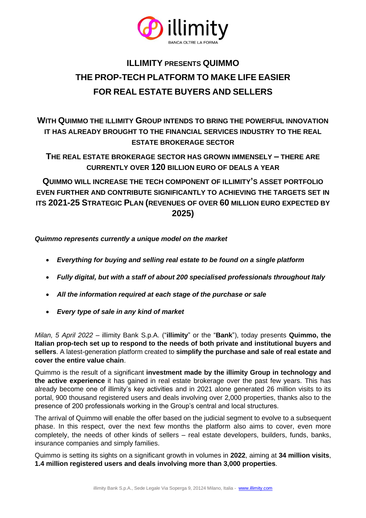

# **ILLIMITY PRESENTS QUIMMO THE PROP-TECH PLATFORM TO MAKE LIFE EASIER FOR REAL ESTATE BUYERS AND SELLERS**

# **WITH QUIMMO THE ILLIMITY GROUP INTENDS TO BRING THE POWERFUL INNOVATION IT HAS ALREADY BROUGHT TO THE FINANCIAL SERVICES INDUSTRY TO THE REAL ESTATE BROKERAGE SECTOR**

**THE REAL ESTATE BROKERAGE SECTOR HAS GROWN IMMENSELY – THERE ARE CURRENTLY OVER 120 BILLION EURO OF DEALS A YEAR**

**QUIMMO WILL INCREASE THE TECH COMPONENT OF ILLIMITY'S ASSET PORTFOLIO EVEN FURTHER AND CONTRIBUTE SIGNIFICANTLY TO ACHIEVING THE TARGETS SET IN ITS 2021-25 STRATEGIC PLAN (REVENUES OF OVER 60 MILLION EURO EXPECTED BY 2025)**

*Quimmo represents currently a unique model on the market*

- *Everything for buying and selling real estate to be found on a single platform*
- *Fully digital, but with a staff of about 200 specialised professionals throughout Italy*
- *All the information required at each stage of the purchase or sale*
- *Every type of sale in any kind of market*

*Milan, 5 April 2022* – illimity Bank S.p.A. ("**illimity**" or the "**Bank**"), today presents **Quimmo, the Italian prop-tech set up to respond to the needs of both private and institutional buyers and sellers**. A latest-generation platform created to **simplify the purchase and sale of real estate and cover the entire value chain**.

Quimmo is the result of a significant **investment made by the illimity Group in technology and the active experience** it has gained in real estate brokerage over the past few years. This has already become one of illimity's key activities and in 2021 alone generated 26 million visits to its portal, 900 thousand registered users and deals involving over 2,000 properties, thanks also to the presence of 200 professionals working in the Group's central and local structures.

The arrival of Quimmo will enable the offer based on the judicial segment to evolve to a subsequent phase. In this respect, over the next few months the platform also aims to cover, even more completely, the needs of other kinds of sellers – real estate developers, builders, funds, banks, insurance companies and simply families.

Quimmo is setting its sights on a significant growth in volumes in **2022**, aiming at **34 million visits**, **1.4 million registered users and deals involving more than 3,000 properties**.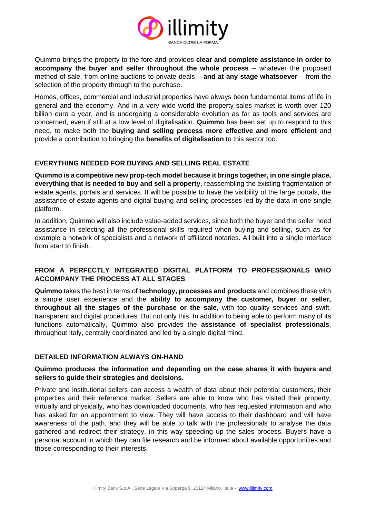

Quimmo brings the property to the fore and provides **clear and complete assistance in order to accompany the buyer and seller throughout the whole process** – whatever the proposed method of sale, from online auctions to private deals – **and at any stage whatsoever** – from the selection of the property through to the purchase.

Homes, offices, commercial and industrial properties have always been fundamental items of life in general and the economy. And in a very wide world the property sales market is worth over 120 billion euro a year, and is undergoing a considerable evolution as far as tools and services are concerned, even if still at a low level of digitalisation. **Quimmo** has been set up to respond to this need, to make both the **buying and selling process more effective and more efficient** and provide a contribution to bringing the **benefits of digitalisation** to this sector too.

# **EVERYTHING NEEDED FOR BUYING AND SELLING REAL ESTATE**

**Quimmo is a competitive new prop-tech model because it brings together, in one single place, everything that is needed to buy and sell a property**, reassembling the existing fragmentation of estate agents, portals and services. It will be possible to have the visibility of the large portals, the assistance of estate agents and digital buying and selling processes led by the data in one single platform.

In addition, Quimmo will also include value-added services, since both the buyer and the seller need assistance in selecting all the professional skills required when buying and selling, such as for example a network of specialists and a network of affiliated notaries. All built into a single interface from start to finish.

# **FROM A PERFECTLY INTEGRATED DIGITAL PLATFORM TO PROFESSIONALS WHO ACCOMPANY THE PROCESS AT ALL STAGES**

**Quimmo** takes the best in terms of **technology, processes and products** and combines these with a simple user experience and the **ability to accompany the customer, buyer or seller, throughout all the stages of the purchase or the sale**, with top quality services and swift, transparent and digital procedures. But not only this. In addition to being able to perform many of its functions automatically, Quimmo also provides the **assistance of specialist professionals**, throughout Italy, centrally coordinated and led by a single digital mind.

#### **DETAILED INFORMATION ALWAYS ON-HAND**

# **Quimmo produces the information and depending on the case shares it with buyers and sellers to guide their strategies and decisions.**

Private and institutional sellers can access a wealth of data about their potential customers, their properties and their reference market. Sellers are able to know who has visited their property, virtually and physically, who has downloaded documents, who has requested information and who has asked for an appointment to view. They will have access to their dashboard and will have awareness of the path, and they will be able to talk with the professionals to analyse the data gathered and redirect their strategy, in this way speeding up the sales process. Buyers have a personal account in which they can file research and be informed about available opportunities and those corresponding to their interests.